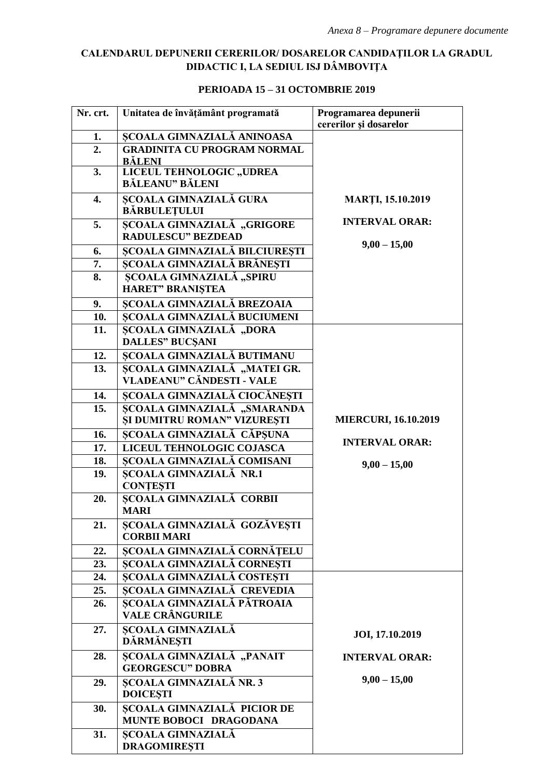## **CALENDARUL DEPUNERII CERERILOR/ DOSARELOR CANDIDAŢILOR LA GRADUL DIDACTIC I, LA SEDIUL ISJ DÂMBOVIŢA**

## **Nr. crt. Unitatea de învăţământ programată Programarea depunerii cererilor şi dosarelor 1. ȘCOALA GIMNAZIALĂ ANINOASA MARŢI, 15.10.2019 INTERVAL ORAR: 9,00 – 15,00 2. GRADINITA CU PROGRAM NORMAL BĂLENI 3. LICEUL TEHNOLOGIC**, **UDREA BĂLEANU" BĂLENI 4. ȘCOALA GIMNAZIALĂ GURA BĂRBULEŢULUI 5. ȘCOALA GIMNAZIALĂ "GRIGORE RADULESCU" BEZDEAD 6. ȘCOALA GIMNAZIALĂ BILCIUREŞTI 7. ȘCOALA GIMNAZIALĂ BRĂNEŞTI** 8. **SCOALA GIMNAZIALĂ** "SPIRU **HARET" BRANIŞTEA 9. ŞCOALA GIMNAZIALĂ BREZOAIA**  10. SCOALA GIMNAZIALĂ BUCIUMENI 11. SCOALA GIMNAZIALĂ "DORA **DALLES" BUCŞANI MIERCURI, 16.10.2019 INTERVAL ORAR: 9,00 – 15,00 12. ȘCOALA GIMNAZIALĂ BUTIMANU** 13. SCOALA GIMNAZIALĂ "MATEI GR. **VLADEANU" CĂNDESTI - VALE 14. ȘCOALA GIMNAZIALĂ CIOCĂNEŞTI** 15. SCOALA GIMNAZIALĂ "SMARANDA **ȘI DUMITRU ROMAN" VIZUREŞTI 16. ȘCOALA GIMNAZIALĂ CĂPŞUNA**  17. LICEUL TEHNOLOGIC COJASCA **18. ȘCOALA GIMNAZIALĂ COMISANI 19. ȘCOALA GIMNAZIALĂ NR.1 CONŢEŞTI 20. ȘCOALA GIMNAZIALĂ CORBII MARI 21. ȘCOALA GIMNAZIALĂ GOZĂVEȘTI CORBII MARI 22. ȘCOALA GIMNAZIALĂ CORNĂŢELU 23. ȘCOALA GIMNAZIALĂ CORNEŞTI 24. ȘCOALA GIMNAZIALĂ COSTEŞTI VALE 25. ȘCOALA GIMNAZIALĂ CREVEDIA JOI, 17.10.2019 INTERVAL ORAR: 9,00 – 15,00 26. ȘCOALA GIMNAZIALĂ PĂTROAIA VALE CRÂNGURILE 27. ȘCOALA GIMNAZIALĂ DĂRMĂNEŞTI 28. ȘCOALA GIMNAZIALĂ "PANAIT GEORGESCU" DOBRA 29. ȘCOALA GIMNAZIALĂ NR. 3 DOICEŞTI 30. ȘCOALA GIMNAZIALĂ PICIOR DE MUNTE BOBOCI DRAGODANA 31. ȘCOALA GIMNAZIALĂ DRAGOMIREŞTI**

## **PERIOADA 15 – 31 OCTOMBRIE 2019**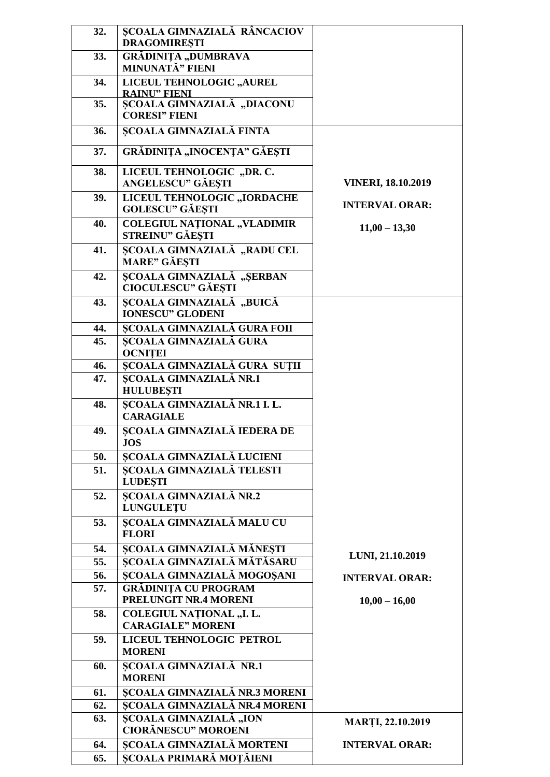| 32. | <b>SCOALA GIMNAZIALĂ RÂNCACIOV</b><br><b>DRAGOMIREȘTI</b>     |                           |
|-----|---------------------------------------------------------------|---------------------------|
| 33. | <b>GRĂDINIȚA "DUMBRAVA</b><br><b>MINUNATĂ" FIENI</b>          |                           |
| 34. | LICEUL TEHNOLOGIC "AUREL<br><b>RAINU" FIENI</b>               |                           |
| 35. | ȘCOALA GIMNAZIALĂ "DIACONU<br><b>CORESI" FIENI</b>            |                           |
| 36. | ȘCOALA GIMNAZIALĂ FINTA                                       |                           |
| 37. | <b>GRĂDINITA "INOCENTA" GĂESTI</b>                            |                           |
| 38. | LICEUL TEHNOLOGIC "DR. C.<br><b>ANGELESCU" GĂEȘTI</b>         | <b>VINERI, 18.10.2019</b> |
| 39. | LICEUL TEHNOLOGIC "IORDACHE<br><b>GOLESCU" GĂEȘTI</b>         | <b>INTERVAL ORAR:</b>     |
| 40. | <b>COLEGIUL NATIONAL "VLADIMIR</b><br><b>STREINU" GĂEȘTI</b>  | $11,00 - 13,30$           |
| 41. | ȘCOALA GIMNAZIALĂ, "RADU CEL<br><b>MARE" GĂEȘTI</b>           |                           |
| 42. | <b>SCOALA GIMNAZIALĂ</b> "SERBAN<br><b>CIOCULESCU" GĂEȘTI</b> |                           |
| 43. | SCOALA GIMNAZIALĂ, "BUICĂ<br><b>IONESCU" GLODENI</b>          |                           |
| 44. | ȘCOALA GIMNAZIALĂ GURA FOII                                   |                           |
| 45. | <b>SCOALA GIMNAZIALĂ GURA</b><br><b>OCNITEI</b>               |                           |
| 46. | <b>ȘCOALA GIMNAZIALĂ GURA SUȚII</b>                           |                           |
| 47. | <b>ȘCOALA GIMNAZIALĂ NR.1</b><br><b>HULUBEȘTI</b>             |                           |
| 48. | ȘCOALA GIMNAZIALĂ NR.1 I. L.<br><b>CARAGIALE</b>              |                           |
| 49. | ȘCOALA GIMNAZIALĂ IEDERA DE<br><b>JOS</b>                     |                           |
| 50. | ȘCOALA GIMNAZIALĂ LUCIENI                                     |                           |
| 51. | <b>SCOALA GIMNAZIALĂ TELESTI</b><br><b>LUDESTI</b>            |                           |
| 52. | <b>ȘCOALA GIMNAZIALĂ NR.2</b><br><b>LUNGULETU</b>             |                           |
| 53. | <b>ȘCOALA GIMNAZIALĂ MALU CU</b><br><b>FLORI</b>              |                           |
| 54. | ȘCOALA GIMNAZIALĂ MĂNEȘTI                                     | LUNI, 21.10.2019          |
| 55. | SCOALA GIMNAZIALĂ MĂTĂSARU                                    |                           |
| 56. | ȘCOALA GIMNAZIALĂ MOGOȘANI                                    | <b>INTERVAL ORAR:</b>     |
| 57. | <b>GRĂDINIȚA CU PROGRAM</b><br>PRELUNGIT NR.4 MORENI          | $10,00 - 16,00$           |
| 58. | COLEGIUL NAȚIONAL "I. L.<br><b>CARAGIALE" MORENI</b>          |                           |
| 59. | LICEUL TEHNOLOGIC PETROL<br><b>MORENI</b>                     |                           |
| 60. | <b>ȘCOALA GIMNAZIALĂ NR.1</b><br><b>MORENI</b>                |                           |
| 61. | <b>ȘCOALA GIMNAZIALĂ NR.3 MORENI</b>                          |                           |
| 62. | <b>SCOALA GIMNAZIALĂ NR.4 MORENI</b>                          |                           |
| 63. | ȘCOALA GIMNAZIALĂ "ION<br><b>CIORĂNESCU" MOROENI</b>          | <b>MARTI, 22.10.2019</b>  |
| 64. | ȘCOALA GIMNAZIALĂ MORTENI                                     | <b>INTERVAL ORAR:</b>     |
| 65. | <b>ȘCOALA PRIMARĂ MOȚĂIENI</b>                                |                           |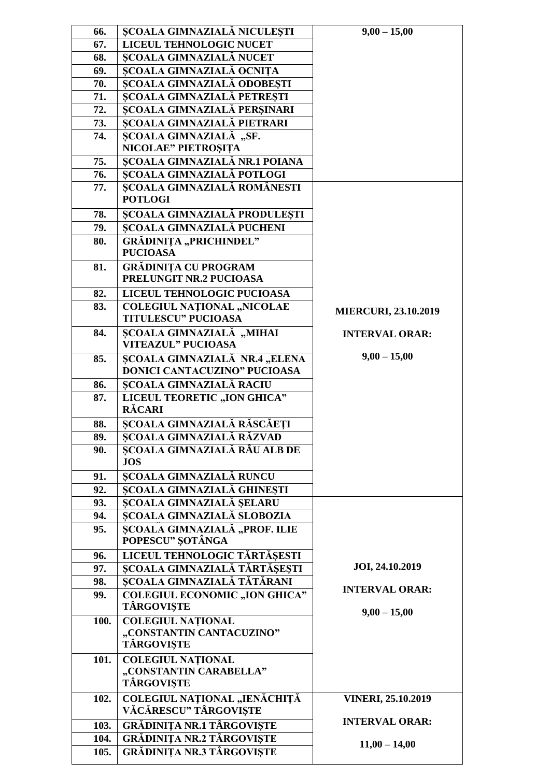| 66.  | ȘCOALA GIMNAZIALĂ NICULEȘTI                               | $9,00 - 15,00$              |
|------|-----------------------------------------------------------|-----------------------------|
| 67.  | LICEUL TEHNOLOGIC NUCET                                   |                             |
| 68.  | ȘCOALA GIMNAZIALĂ NUCET                                   |                             |
| 69.  | ȘCOALA GIMNAZIALĂ OCNIȚA                                  |                             |
| 70.  | ȘCOALA GIMNAZIALĂ ODOBEȘTI                                |                             |
| 71.  | ȘCOALA GIMNAZIALĂ PETREȘTI                                |                             |
| 72.  | ȘCOALA GIMNAZIALĂ PERȘINARI                               |                             |
| 73.  | <b>SCOALA GIMNAZIALĂ PIETRARI</b>                         |                             |
| 74.  | ŞCOALA GIMNAZIALĂ, "SF.                                   |                             |
|      | NICOLAE" PIETROȘIȚA                                       |                             |
| 75.  | SCOALA GIMNAZIALĂ NR.1 POIANA                             |                             |
| 76.  | SCOALA GIMNAZIALĂ POTLOGI                                 |                             |
| 77.  | <b>SCOALA GIMNAZIALĂ ROMÂNESTI</b>                        |                             |
|      | <b>POTLOGI</b>                                            |                             |
| 78.  | ȘCOALA GIMNAZIALĂ PRODULEȘTI                              |                             |
| 79.  | <b>SCOALA GIMNAZIALĂ PUCHENI</b>                          |                             |
| 80.  | <b>GRĂDINIȚA "PRICHINDEL"</b>                             |                             |
|      | <b>PUCIOASA</b>                                           |                             |
| 81.  | <b>GRĂDINIȚA CU PROGRAM</b>                               |                             |
|      | PRELUNGIT NR.2 PUCIOASA                                   |                             |
| 82.  | LICEUL TEHNOLOGIC PUCIOASA                                |                             |
| 83.  | <b>COLEGIUL NATIONAL "NICOLAE</b>                         | <b>MIERCURI, 23.10.2019</b> |
|      | <b>TITULESCU" PUCIOASA</b>                                |                             |
| 84.  | <b>SCOALA GIMNAZIALĂ</b> , "MIHAI                         | <b>INTERVAL ORAR:</b>       |
|      | <b>VITEAZUL" PUCIOASA</b>                                 |                             |
| 85.  | SCOALA GIMNAZIALĂ NR.4 "ELENA                             | $9,00 - 15,00$              |
|      | DONICI CANTACUZINO" PUCIOASA                              |                             |
| 86.  | <b>SCOALA GIMNAZIALĂ RACIU</b>                            |                             |
| 87.  | LICEUL TEORETIC "ION GHICA"                               |                             |
|      | <b>RĂCARI</b>                                             |                             |
| 88.  | ȘCOALA GIMNAZIALĂ RĂSCĂEȚI                                |                             |
| 89.  | ȘCOALA GIMNAZIALĂ RĂZVAD                                  |                             |
| 90.  | SCOALA GIMNAZIALĂ RÂU ALB DE                              |                             |
|      | <b>JOS</b>                                                |                             |
| 91.  | <b>ȘCOALA GIMNAZIALĂ RUNCU</b>                            |                             |
| 92.  | ȘCOALA GIMNAZIALĂ GHINEȘTI                                |                             |
| 93.  | <b>SCOALA GIMNAZIALĂ SELARU</b>                           |                             |
| 94.  | <b>SCOALA GIMNAZIALĂ SLOBOZIA</b>                         |                             |
| 95.  | SCOALA GIMNAZIALĂ "PROF. ILIE                             |                             |
|      | POPESCU" SOTÂNGA                                          |                             |
| 96.  | LICEUL TEHNOLOGIC TĂRTĂȘESTI                              |                             |
| 97.  | ȘCOALA GIMNAZIALĂ TĂRTĂȘEȘTI                              | JOI, 24.10.2019             |
| 98.  | SCOALA GIMNAZIALĂ TĂTĂRANI                                | <b>INTERVAL ORAR:</b>       |
| 99.  | <b>COLEGIUL ECONOMIC "ION GHICA"</b><br><b>TÂRGOVIȘTE</b> |                             |
|      |                                                           | $9,00 - 15,00$              |
| 100. | <b>COLEGIUL NATIONAL</b><br>"CONSTANTIN CANTACUZINO"      |                             |
|      | <b>TÂRGOVIȘTE</b>                                         |                             |
| 101. | <b>COLEGIUL NATIONAL</b>                                  |                             |
|      | "CONSTANTIN CARABELLA"                                    |                             |
|      | <b>TÂRGOVIȘTE</b>                                         |                             |
| 102. | COLEGIUL NAȚIONAL "IENĂCHIȚĂ                              | <b>VINERI, 25.10.2019</b>   |
|      | VĂCĂRESCU" TÂRGOVISTE                                     |                             |
| 103. | <b>GRĂDINIȚA NR.1 TÂRGOVIȘTE</b>                          | <b>INTERVAL ORAR:</b>       |
| 104. | <b>GRĂDINIȚA NR.2 TÂRGOVIȘTE</b>                          |                             |
| 105. | <b>GRĂDINIȚA NR.3 TÂRGOVIȘTE</b>                          | $11,00 - 14,00$             |
|      |                                                           |                             |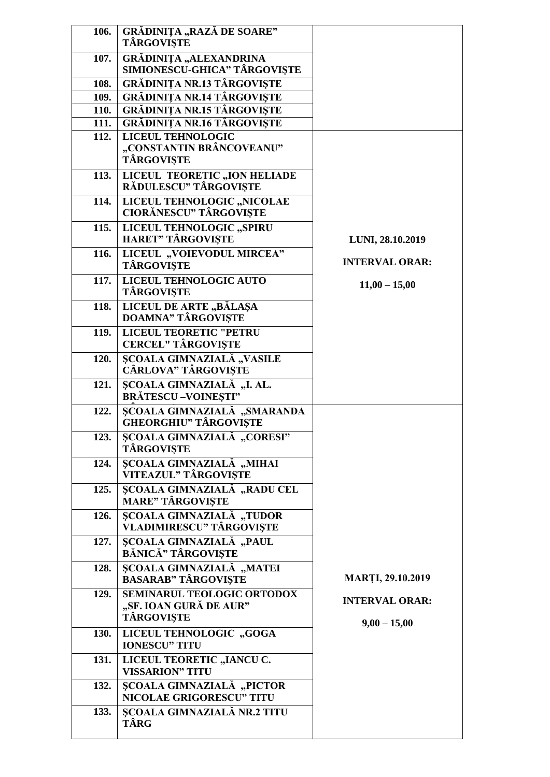| 106. | GRĂDINIȚA "RAZĂ DE SOARE"<br><b>TÂRGOVIȘTE</b>                                   |                                         |
|------|----------------------------------------------------------------------------------|-----------------------------------------|
| 107. | GRĂDINIȚA "ALEXANDRINA<br>SIMIONESCU-GHICA" TÂRGOVIȘTE                           |                                         |
| 108. | <b>GRĂDINIȚA NR.13 TÂRGOVIȘTE</b>                                                |                                         |
| 109. | <b>GRĂDINIȚA NR.14 TÂRGOVIȘTE</b>                                                |                                         |
| 110. | <b>GRĂDINIȚA NR.15 TÂRGOVIȘTE</b>                                                |                                         |
| 111. | <b>GRĂDINIȚA NR.16 TÂRGOVIȘTE</b>                                                |                                         |
| 112. | <b>LICEUL TEHNOLOGIC</b><br>"CONSTANTIN BRÂNCOVEANU"<br><b>TÂRGOVISTE</b>        |                                         |
| 113. | LICEUL TEORETIC "ION HELIADE<br>RĂDULESCU" TÂRGOVIȘTE                            |                                         |
| 114. | LICEUL TEHNOLOGIC "NICOLAE<br><b>CIORĂNESCU" TÂRGOVIȘTE</b>                      |                                         |
| 115. | LICEUL TEHNOLOGIC "SPIRU<br><b>HARET" TÂRGOVISTE</b>                             | LUNI, 28.10.2019                        |
| 116. | LICEUL "VOIEVODUL MIRCEA"<br><b>TÂRGOVISTE</b>                                   | <b>INTERVAL ORAR:</b>                   |
| 117. | LICEUL TEHNOLOGIC AUTO<br>TÂRGOVIȘTE                                             | $11,00 - 15,00$                         |
| 118. | LICEUL DE ARTE, BĂLAȘA<br><b>DOAMNA" TÂRGOVIȘTE</b>                              |                                         |
| 119. | <b>LICEUL TEORETIC "PETRU</b><br><b>CERCEL" TÂRGOVIȘTE</b>                       |                                         |
| 120. | <b>ȘCOALA GIMNAZIALĂ "VASILE</b><br>CÂRLOVA" TÂRGOVIȘTE                          |                                         |
| 121. | SCOALA GIMNAZIALĂ, "I. AL.<br><b>BRĂTESCU-VOINESTI"</b>                          |                                         |
| 122. | SCOALA GIMNAZIALĂ "SMARANDA<br><b>GHEORGHIU" TÂRGOVIȘTE</b>                      |                                         |
| 123. | ȘCOALA GIMNAZIALĂ "CORESI"<br><b>TÂRGOVIȘTE</b>                                  |                                         |
| 124. | ȘCOALA GIMNAZIALĂ, "MIHAI<br>VITEAZUL" TÂRGOVIȘTE                                |                                         |
| 125. | <b>SCOALA GIMNAZIALĂ "RADU CEL</b><br><b>MARE" TÂRGOVIȘTE</b>                    |                                         |
| 126. | ȘCOALA GIMNAZIALĂ, "TUDOR<br><b>VLADIMIRESCU" TÂRGOVIȘTE</b>                     |                                         |
| 127. | ȘCOALA GIMNAZIALĂ "PAUL<br>BĂNICĂ" TÂRGOVIȘTE                                    |                                         |
| 128. | <b>SCOALA GIMNAZIALĂ</b> "MATEI<br><b>BASARAB" TÂRGOVIȘTE</b>                    | <b>MARTI, 29.10.2019</b>                |
| 129. | <b>SEMINARUL TEOLOGIC ORTODOX</b><br>"SF. IOAN GURĂ DE AUR"<br><b>TÂRGOVIȘTE</b> | <b>INTERVAL ORAR:</b><br>$9,00 - 15,00$ |
| 130. | LICEUL TEHNOLOGIC "GOGA<br><b>IONESCU" TITU</b>                                  |                                         |
| 131. | LICEUL TEORETIC "IANCU C.<br><b>VISSARION" TITU</b>                              |                                         |
| 132. | <b>SCOALA GIMNAZIALĂ "PICTOR</b><br><b>NICOLAE GRIGORESCU" TITU</b>              |                                         |
| 133. | <b>SCOALA GIMNAZIALĂ NR.2 TITU</b><br>TÂRG                                       |                                         |